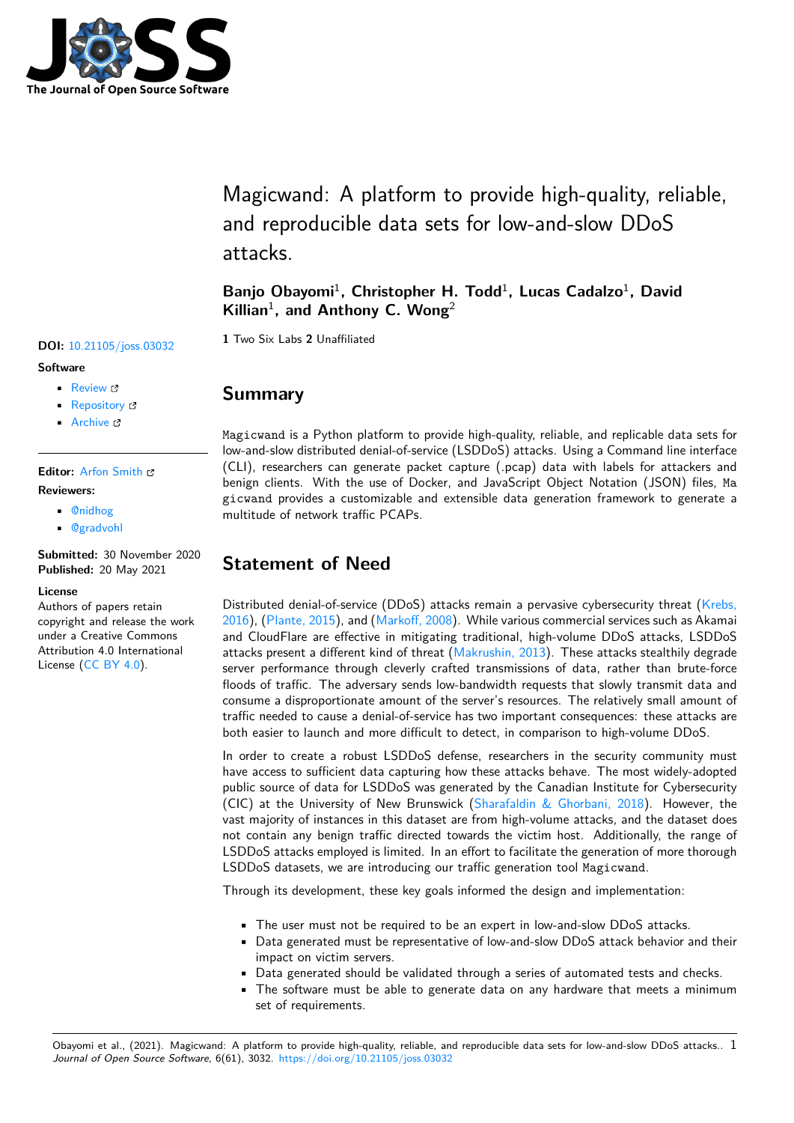

Magicwand: A platform to provide high-quality, reliable, and reproducible data sets for low-and-slow DDoS attacks.

Banjo Obayomi<sup>1</sup>, Christopher H. Todd<sup>1</sup>, Lucas Cadalzo<sup>1</sup>, David Killian<sup>1</sup>, and Anthony C. Wong<sup>2</sup>

**<sup>1</sup>** Two Six Labs **<sup>2</sup>** Unaffiliated **DOI:** 10.21105/joss.03032

# **Summary**

Magicwand is a Python platform to provide high-quality, reliable, and replicable data sets for low-and-slow distributed denial-of-service (LSDDoS) attacks. Using a Command line interface (CLI), researchers can generate packet capture (.pcap) data with labels for attackers and benign clients. With the use of Docker, and JavaScript Object Notation (JSON) files, Ma gicwand provides a customizable and extensible data generation framework to generate a multitude of network traffic PCAPs.

# **Statement of Need**

Distributed denial-of-service (DDoS) attacks remain a pervasive cybersecurity threat (Krebs, 2016), (Plante, 2015), and (Markoff, 2008). While various commercial services such as Akamai and CloudFlare are effective in mitigating traditional, high-volume DDoS attacks, LSDDoS attacks present a different kind of threat (Makrushin, 2013). These attacks stealthily degrade server performance through cleverly crafted transmissions of data, rather than brut[e-force](#page-3-0) [flood](#page-3-0)s [of traffic. The](#page-3-1) adver[sary sends low](#page-3-2)-bandwidth requests that slowly transmit data and consume a disproportionate amount of the server's resources. The relatively small amount of traffic needed to cause a denial-of-service [has two importan](#page-3-3)t consequences: these attacks are both easier to launch and more difficult to detect, in comparison to high-volume DDoS.

In order to create a robust LSDDoS defense, researchers in the security community must have access to sufficient data capturing how these attacks behave. The most widely-adopted public source of data for LSDDoS was generated by the Canadian Institute for Cybersecurity (CIC) at the University of New Brunswick (Sharafaldin  $&$  Ghorbani, 2018). However, the vast majority of instances in this dataset are from high-volume attacks, and the dataset does not contain any benign traffic directed towards the victim host. Additionally, the range of LSDDoS attacks employed is limited. In an effort to facilitate the generation of more thorough LSDDoS datasets, we are introducing our tra[ffic generation tool](#page-3-4) Magicwand.

Through its development, these key goals informed the design and implementation:

- The user must not be required to be an expert in low-and-slow DDoS attacks.
- Data generated must be representative of low-and-slow DDoS attack behavior and their impact on victim servers.
- Data generated should be validated through a series of automated tests and checks.
- The software must be able to generate data on any hardware that meets a minimum set of requirements.

Obayomi et al., (2021). Magicwand: A platform to provide high-quality, reliable, and reproducible data sets for low-and-slow DDoS attacks.. 1 *Journal of Open Source Software*, 6(61), 3032. https://doi.org/10.21105/joss.03032

### **Software**

- Review &
- [Repository](https://doi.org/10.21105/joss.03032) C
- Archive

### **Editor:** [Arfon Sm](https://github.com/twosixlabs/magicwand-datatool)ith

#### **Revie[wers:](https://doi.org/10.5281/zenodo.4774301)**

- @nidhog
- @[gradvohl](http://arfon.org/)

**Submitted:** 30 November 2020 **Publi[shed:](https://github.com/nidhog)** 20 May 2021

#### **Licen[se](https://github.com/gradvohl)**

Authors of papers retain copyright and release the work under a Creative Commons Attribution 4.0 International License (CC BY 4.0).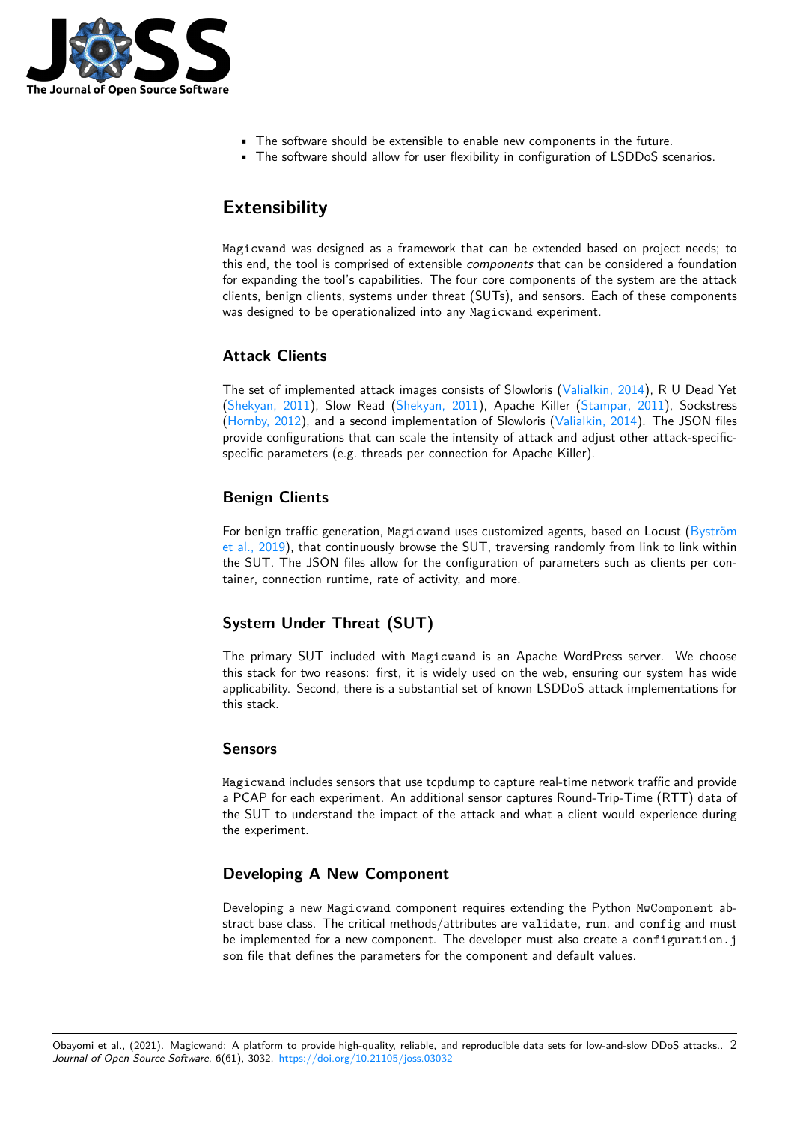

- The software should be extensible to enable new components in the future.
- The software should allow for user flexibility in configuration of LSDDoS scenarios.

# **Extensibility**

Magicwand was designed as a framework that can be extended based on project needs; to this end, the tool is comprised of extensible *components* that can be considered a foundation for expanding the tool's capabilities. The four core components of the system are the attack clients, benign clients, systems under threat (SUTs), and sensors. Each of these components was designed to be operationalized into any Magicwand experiment.

## **Attack Clients**

The set of implemented attack images consists of Slowloris (Valialkin, 2014), R U Dead Yet (Shekyan, 2011), Slow Read (Shekyan, 2011), Apache Killer (Stampar, 2011), Sockstress (Hornby, 2012), and a second implementation of Slowloris (Valialkin, 2014). The JSON files provide configurations that can scale the intensity of attack and adjust other attack-specificspecific parameters (e.g. threads per connection for Apache [Killer\).](#page-3-5)

## **[Benign Clie](#page-3-6)nts**

For benign traffic generation, Magicwand uses customized agents, based on Locust (Byström et al., 2019), that continuously browse the SUT, traversing randomly from link to link within the SUT. The JSON files allow for the configuration of parameters such as clients per container, connection runtime, rate of activity, and more.

## **[System U](#page-3-7)nder Threat (SUT)**

The primary SUT included with Magicwand is an Apache WordPress server. We choose this stack for two reasons: first, it is widely used on the web, ensuring our system has wide applicability. Second, there is a substantial set of known LSDDoS attack implementations for this stack.

### **Sensors**

Magicwand includes sensors that use tcpdump to capture real-time network traffic and provide a PCAP for each experiment. An additional sensor captures Round-Trip-Time (RTT) data of the SUT to understand the impact of the attack and what a client would experience during the experiment.

### **Developing A New Component**

Developing a new Magicwand component requires extending the Python MwComponent abstract base class. The critical methods/attributes are validate, run, and config and must be implemented for a new component. The developer must also create a configuration.j son file that defines the parameters for the component and default values.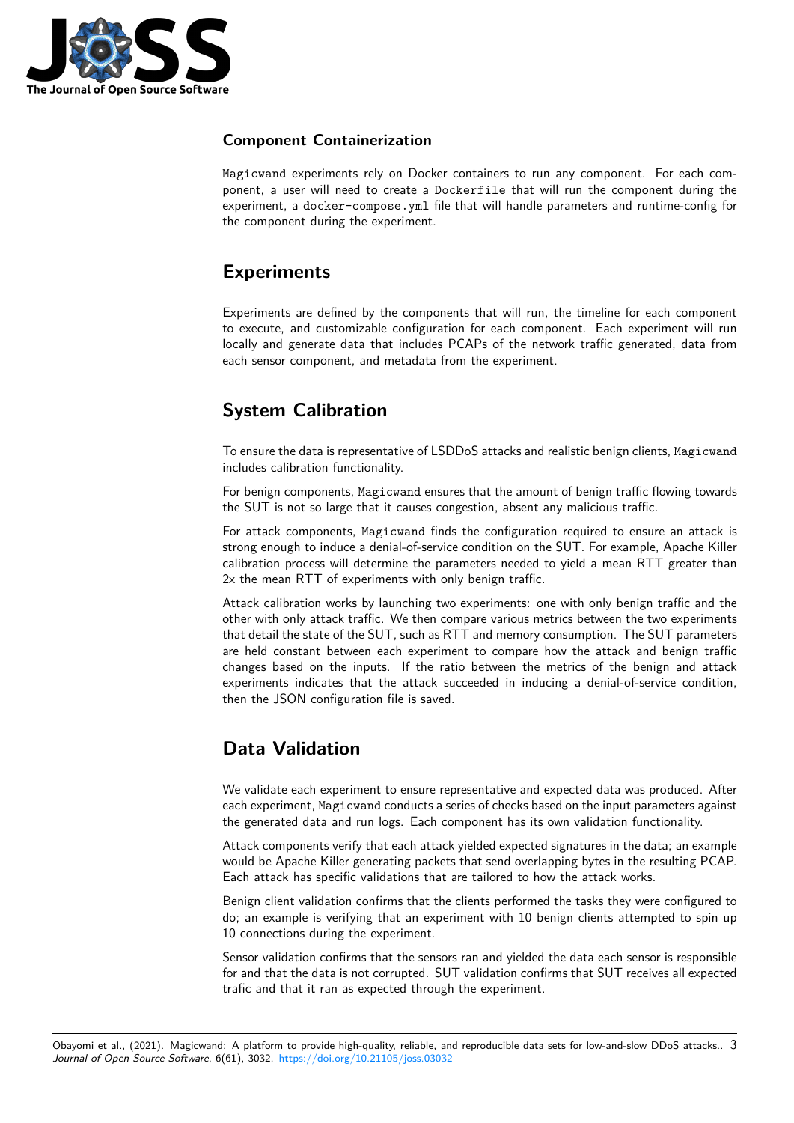

## **Component Containerization**

Magicwand experiments rely on Docker containers to run any component. For each component, a user will need to create a Dockerfile that will run the component during the experiment, a docker-compose.yml file that will handle parameters and runtime-config for the component during the experiment.

# **Experiments**

Experiments are defined by the components that will run, the timeline for each component to execute, and customizable configuration for each component. Each experiment will run locally and generate data that includes PCAPs of the network traffic generated, data from each sensor component, and metadata from the experiment.

# **System Calibration**

To ensure the data is representative of LSDDoS attacks and realistic benign clients, Magicwand includes calibration functionality.

For benign components, Magicwand ensures that the amount of benign traffic flowing towards the SUT is not so large that it causes congestion, absent any malicious traffic.

For attack components, Magicwand finds the configuration required to ensure an attack is strong enough to induce a denial-of-service condition on the SUT. For example, Apache Killer calibration process will determine the parameters needed to yield a mean RTT greater than 2x the mean RTT of experiments with only benign traffic.

Attack calibration works by launching two experiments: one with only benign traffic and the other with only attack traffic. We then compare various metrics between the two experiments that detail the state of the SUT, such as RTT and memory consumption. The SUT parameters are held constant between each experiment to compare how the attack and benign traffic changes based on the inputs. If the ratio between the metrics of the benign and attack experiments indicates that the attack succeeded in inducing a denial-of-service condition, then the JSON configuration file is saved.

# **Data Validation**

We validate each experiment to ensure representative and expected data was produced. After each experiment, Magicwand conducts a series of checks based on the input parameters against the generated data and run logs. Each component has its own validation functionality.

Attack components verify that each attack yielded expected signatures in the data; an example would be Apache Killer generating packets that send overlapping bytes in the resulting PCAP. Each attack has specific validations that are tailored to how the attack works.

Benign client validation confirms that the clients performed the tasks they were configured to do; an example is verifying that an experiment with 10 benign clients attempted to spin up 10 connections during the experiment.

Sensor validation confirms that the sensors ran and yielded the data each sensor is responsible for and that the data is not corrupted. SUT validation confirms that SUT receives all expected trafic and that it ran as expected through the experiment.